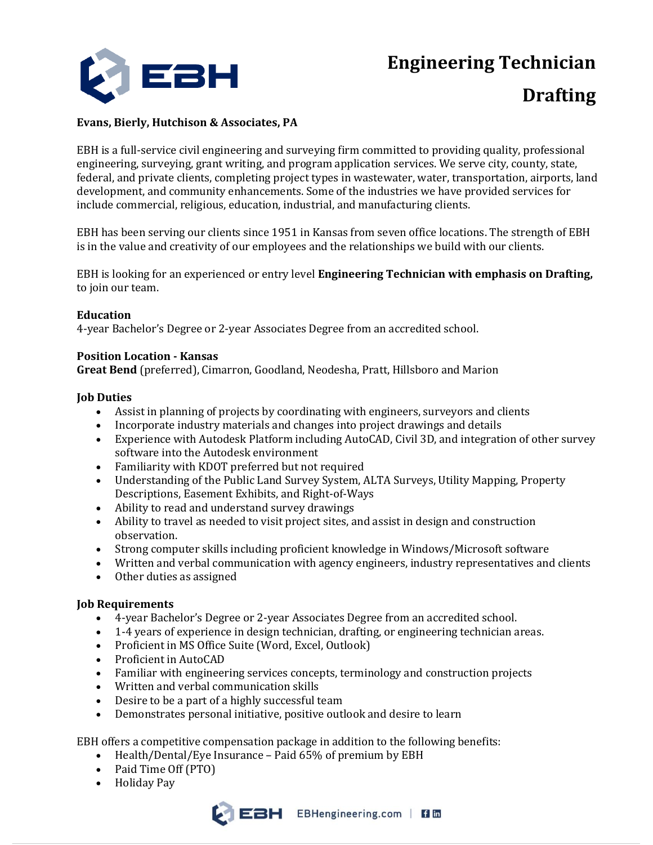**Engineering Technician**



# **Drafting**

# **Evans, Bierly, Hutchison & Associates, PA**

EBH is a full-service civil engineering and surveying firm committed to providing quality, professional engineering, surveying, grant writing, and program application services. We serve city, county, state, federal, and private clients, completing project types in wastewater, water, transportation, airports, land development, and community enhancements. Some of the industries we have provided services for include commercial, religious, education, industrial, and manufacturing clients.

EBH has been serving our clients since 1951 in Kansas from seven office locations. The strength of EBH is in the value and creativity of our employees and the relationships we build with our clients.

EBH is looking for an experienced or entry level **Engineering Technician with emphasis on Drafting,**  to join our team.

### **Education**

4-year Bachelor's Degree or 2-year Associates Degree from an accredited school.

### **Position Location - Kansas**

**Great Bend** (preferred), Cimarron, Goodland, Neodesha, Pratt, Hillsboro and Marion

### **Job Duties**

- Assist in planning of projects by coordinating with engineers, surveyors and clients
- Incorporate industry materials and changes into project drawings and details
- Experience with Autodesk Platform including AutoCAD, Civil 3D, and integration of other survey software into the Autodesk environment
- Familiarity with KDOT preferred but not required
- Understanding of the Public Land Survey System, ALTA Surveys, Utility Mapping, Property Descriptions, Easement Exhibits, and Right-of-Ways
- Ability to read and understand survey drawings
- Ability to travel as needed to visit project sites, and assist in design and construction observation.
- Strong computer skills including proficient knowledge in Windows/Microsoft software
- Written and verbal communication with agency engineers, industry representatives and clients
- Other duties as assigned

# **Job Requirements**

- 4-year Bachelor's Degree or 2-year Associates Degree from an accredited school.
- 1-4 years of experience in design technician, drafting, or engineering technician areas.
- Proficient in MS Office Suite (Word, Excel, Outlook)
- Proficient in AutoCAD
- Familiar with engineering services concepts, terminology and construction projects
- Written and verbal communication skills
- Desire to be a part of a highly successful team
- Demonstrates personal initiative, positive outlook and desire to learn

EBH offers a competitive compensation package in addition to the following benefits:

- Health/Dental/Eye Insurance Paid 65% of premium by EBH
- Paid Time Off (PTO)
- Holiday Pay